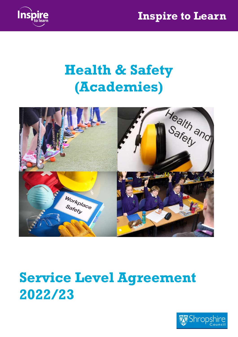

## Health & Safety (Academies)



# Service Level Agreement 2022/23

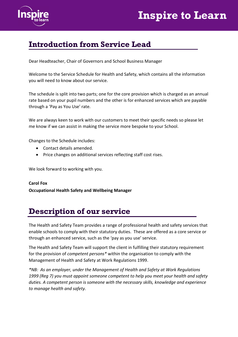



#### Introduction from Service Lead

Dear Headteacher, Chair of Governors and School Business Manager

Welcome to the Service Schedule for Health and Safety, which contains all the information you will need to know about our service.

The schedule is split into two parts; one for the core provision which is charged as an annual rate based on your pupil numbers and the other is for enhanced services which are payable through a 'Pay as You Use' rate.

We are always keen to work with our customers to meet their specific needs so please let me know if we can assist in making the service more bespoke to your School.

Changes to the Schedule includes:

- Contact details amended.
- Price changes on additional services reflecting staff cost rises.

We look forward to working with you.

Carol Fox Occupational Health Safety and Wellbeing Manager

#### Description of our service

The Health and Safety Team provides a range of professional health and safety services that enable schools to comply with their statutory duties. These are offered as a core service or through an enhanced service, such as the 'pay as you use' service.

The Health and Safety Team will support the client in fulfilling their statutory requirement for the provision of *competent persons*<sup>\*</sup> within the organisation to comply with the Management of Health and Safety at Work Regulations 1999.

\*NB: As an employer, under the Management of Health and Safety at Work Regulations 1999 (Reg 7) you must appoint someone competent to help you meet your health and safety duties. A competent person is someone with the necessary skills, knowledge and experience to manage health and safety.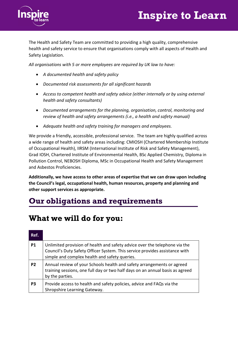

The Health and Safety Team are committed to providing a high quality, comprehensive health and safety service to ensure that organisations comply with all aspects of Health and Safety Legislation.

All organisations with 5 or more employees are required by UK law to have:

- A documented health and safety policy
- Documented risk assessments for all significant hazards
- Access to competent health and safety advice (either internally or by using external health and safety consultants)
- Documented arrangements for the planning, organisation, control, monitoring and review of health and safety arrangements (i.e., a health and safety manual)
- Adequate health and safety training for managers and employees.

We provide a friendly, accessible, professional service. The team are highly qualified across a wide range of health and safety areas including: CMIOSH (Chartered Membership Institute of Occupational Health), IIRSM (International Institute of Risk and Safety Management), Grad IOSH, Chartered Institute of Environmental Health, BSc Applied Chemistry, Diploma in Pollution Control, NEBOSH Diploma, MSc in Occupational Health and Safety Management and Asbestos Proficiencies.

Additionally, we have access to other areas of expertise that we can draw upon including the Council's legal, occupational health, human resources, property and planning and other support services as appropriate.

#### Our obligations and requirements

#### What we will do for you:

| Ref.           |                                                                                                                                                                                                            |
|----------------|------------------------------------------------------------------------------------------------------------------------------------------------------------------------------------------------------------|
| P <sub>1</sub> | Unlimited provision of health and safety advice over the telephone via the<br>Council's Duty Safety Officer System. This service provides assistance with<br>simple and complex health and safety queries. |
| P <sub>2</sub> | Annual review of your Schools health and safety arrangements or agreed<br>training sessions, one full day or two half days on an annual basis as agreed<br>by the parties.                                 |
| P <sub>3</sub> | Provide access to health and safety policies, advice and FAQs via the<br>Shropshire Learning Gateway.                                                                                                      |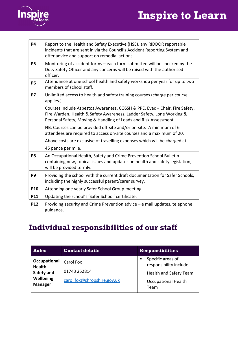

| <b>P4</b>      | Report to the Health and Safety Executive (HSE), any RIDDOR reportable<br>incidents that are sent in via the Council's Accident Reporting System and<br>offer advice and support on remedial actions.                    |  |
|----------------|--------------------------------------------------------------------------------------------------------------------------------------------------------------------------------------------------------------------------|--|
| <b>P5</b>      | Monitoring of accident forms – each form submitted will be checked by the<br>Duty Safety Officer and any concerns will be raised with the authorised<br>officer.                                                         |  |
| <b>P6</b>      | Attendance at one school health and safety workshop per year for up to two<br>members of school staff.                                                                                                                   |  |
| <b>P7</b>      | Unlimited access to health and safety training courses (charge per course<br>applies.)                                                                                                                                   |  |
|                | Courses include Asbestos Awareness, COSSH & PPE, Evac + Chair, Fire Safety,<br>Fire Warden, Health & Safety Awareness, Ladder Safety, Lone Working &<br>Personal Safety, Moving & Handling of Loads and Risk Assessment. |  |
|                | NB. Courses can be provided off-site and/or on-site. A minimum of 6<br>attendees are required to access on-site courses and a maximum of 20.                                                                             |  |
|                | Above costs are exclusive of travelling expenses which will be charged at                                                                                                                                                |  |
|                | 45 pence per mile.                                                                                                                                                                                                       |  |
| P <sub>8</sub> | An Occupational Health, Safety and Crime Prevention School Bulletin<br>containing new, topical issues and updates on health and safety legislation,<br>will be provided termly.                                          |  |
| P <sub>9</sub> | Providing the school with the current draft documentation for Safer Schools,<br>including the highly successful parent/carer survey.                                                                                     |  |
| P10            | Attending one yearly Safer School Group meeting.                                                                                                                                                                         |  |
| P11            | Updating the school's 'Safer School' certificate.                                                                                                                                                                        |  |
| <b>P12</b>     | Providing security and Crime Prevention advice - e mail updates, telephone<br>guidance.                                                                                                                                  |  |

#### Individual responsibilities of our staff

| <b>Roles</b>                  | <b>Contact details</b>      | <b>Responsibilities</b>                      |
|-------------------------------|-----------------------------|----------------------------------------------|
| Occupational<br><b>Health</b> | Carol Fox                   | Specific areas of<br>responsibility include: |
| Safety and                    | 01743 252814                | Health and Safety Team                       |
| Wellbeing<br><b>Manager</b>   | carol.fox@shropshire.gov.uk | <b>Occupational Health</b><br>Team           |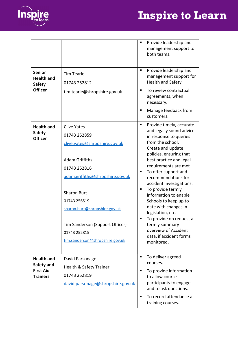



|                                                                        |                                                                                                                                                                                                                                                                                                               | $\blacksquare$           | Provide leadership and<br>management support to<br>both teams.                                                                                                                                                                                                                                                                                                                                                                                                                                                     |
|------------------------------------------------------------------------|---------------------------------------------------------------------------------------------------------------------------------------------------------------------------------------------------------------------------------------------------------------------------------------------------------------|--------------------------|--------------------------------------------------------------------------------------------------------------------------------------------------------------------------------------------------------------------------------------------------------------------------------------------------------------------------------------------------------------------------------------------------------------------------------------------------------------------------------------------------------------------|
| <b>Senior</b><br><b>Health and</b><br><b>Safety</b><br><b>Officer</b>  | <b>Tim Tearle</b><br>01743 252812<br>tim.tearle@shropshire.gov.uk                                                                                                                                                                                                                                             | п<br>п                   | Provide leadership and<br>management support for<br><b>Health and Safety</b><br>To review contractual<br>agreements, when<br>necessary.<br>Manage feedback from<br>customers.                                                                                                                                                                                                                                                                                                                                      |
| <b>Health and</b><br><b>Safety</b><br><b>Officer</b>                   | <b>Clive Yates</b><br>01743 252859<br>clive.yates@shropshire.gov.uk<br><b>Adam Griffiths</b><br>01743 252816<br>adam.griffiths@shropshire.gov.uk<br><b>Sharon Burt</b><br>01743 256519<br>sharon.burt@shropshire.gov.uk<br>Tim Sanderson (Support Officer)<br>01743 252815<br>tim.sanderson@shropshire.gov.uk | $\blacksquare$<br>п<br>п | Provide timely, accurate<br>and legally sound advice<br>in response to queries<br>from the school.<br>Create and update<br>policies, ensuring that<br>best practice and legal<br>requirements are met<br>To offer support and<br>recommendations for<br>accident investigations.<br>To provide termly<br>information to enable<br>Schools to keep up to<br>date with changes in<br>legislation, etc.<br>To provide on request a<br>termly summary<br>overview of Accident<br>data, if accident forms<br>monitored. |
| <b>Health and</b><br>Safety and<br><b>First Aid</b><br><b>Trainers</b> | David Parsonage<br>Health & Safety Trainer<br>01743 252819<br>david.parsonage@shropshire.gov.uk                                                                                                                                                                                                               | п<br>п<br>п              | To deliver agreed<br>courses.<br>To provide information<br>to allow course<br>participants to engage<br>and to ask questions.<br>To record attendance at<br>training courses.                                                                                                                                                                                                                                                                                                                                      |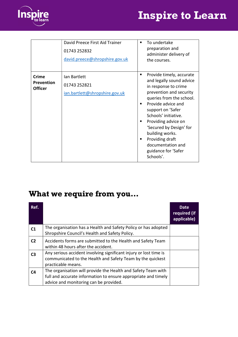



|                                       | David Preece First Aid Trainer<br>01743 252832<br>david.preece@shropshire.gov.uk | To undertake<br>preparation and<br>administer delivery of<br>the courses.                                                                                                                                                                                                                                                                                    |
|---------------------------------------|----------------------------------------------------------------------------------|--------------------------------------------------------------------------------------------------------------------------------------------------------------------------------------------------------------------------------------------------------------------------------------------------------------------------------------------------------------|
| Crime<br>Prevention<br><b>Officer</b> | Ian Bartlett<br>01743 252821<br>ian.bartlett@shropshire.gov.uk                   | Provide timely, accurate<br>٠<br>and legally sound advice<br>in response to crime<br>prevention and security<br>queries from the school.<br>Provide advice and<br>support on 'Safer<br>Schools' initiative.<br>Providing advice on<br>'Secured by Design' for<br>building works.<br>Providing draft<br>documentation and<br>guidance for 'Safer<br>Schools'. |

#### What we require from you…

| Ref.           |                                                                                                                                                                           | Date<br>required (if<br>applicable) |
|----------------|---------------------------------------------------------------------------------------------------------------------------------------------------------------------------|-------------------------------------|
| C <sub>1</sub> | The organisation has a Health and Safety Policy or has adopted<br>Shropshire Council's Health and Safety Policy.                                                          |                                     |
| C <sub>2</sub> | Accidents forms are submitted to the Health and Safety Team<br>within 48 hours after the accident.                                                                        |                                     |
| C <sub>3</sub> | Any serious accident involving significant injury or lost time is<br>communicated to the Health and Safety Team by the quickest<br>practicable means.                     |                                     |
| C <sub>4</sub> | The organisation will provide the Health and Safety Team with<br>full and accurate information to ensure appropriate and timely<br>advice and monitoring can be provided. |                                     |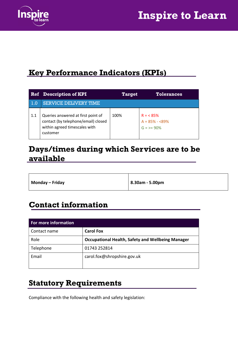

#### Key Performance Indicators (KPIs)

|     | <b>Ref</b> Description of KPI                                                                                          | <b>Target</b> | <b>Tolerances</b>                                |
|-----|------------------------------------------------------------------------------------------------------------------------|---------------|--------------------------------------------------|
| 1.0 | <b>SERVICE DELIVERY TIME</b>                                                                                           |               |                                                  |
| 1.1 | Queries answered at first point of<br>contact (by telephone/email) closed<br>within agreed timescales with<br>customer | 100%          | $R = 85%$<br>$A = 85\% - 89\%$<br>$G = \ge 90\%$ |

#### Days/times during which Services are to be available

| Monday – Friday<br>  8.30am - 5.00pm |
|--------------------------------------|
|--------------------------------------|

#### Contact information

| For more information |                                                          |  |  |
|----------------------|----------------------------------------------------------|--|--|
| Contact name         | <b>Carol Fox</b>                                         |  |  |
| Role                 | <b>Occupational Health, Safety and Wellbeing Manager</b> |  |  |
| Telephone            | 01743 252814                                             |  |  |
| Email                | carol.fox@shropshire.gov.uk                              |  |  |
|                      |                                                          |  |  |

#### Statutory Requirements

Compliance with the following health and safety legislation: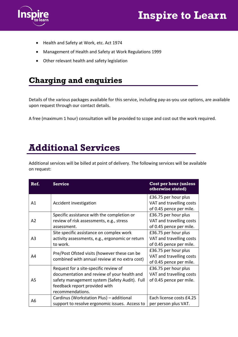

- Health and Safety at Work, etc. Act 1974
- Management of Health and Safety at Work Regulations 1999
- Other relevant health and safety legislation

#### Charging and enquiries

Details of the various packages available for this service, including pay-as-you use options, are available upon request through our contact details.

A free (maximum 1 hour) consultation will be provided to scope and cost out the work required.

### Additional Services

Additional services will be billed at point of delivery. The following services will be available on request:

| Ref.           | <b>Service</b>                                                                                                                                                                             | <b>Cost per hour (unless</b><br>otherwise stated)                           |
|----------------|--------------------------------------------------------------------------------------------------------------------------------------------------------------------------------------------|-----------------------------------------------------------------------------|
| A1             | Accident investigation                                                                                                                                                                     | £36.75 per hour plus<br>VAT and travelling costs<br>of 0.45 pence per mile. |
| A2             | Specific assistance with the completion or<br>review of risk assessments, e.g., stress<br>assessment.                                                                                      | £36.75 per hour plus<br>VAT and travelling costs<br>of 0.45 pence per mile. |
| A <sub>3</sub> | Site specific assistance on complex work<br>activity assessments, e.g., ergonomic or return<br>to work.                                                                                    | £36.75 per hour plus<br>VAT and travelling costs<br>of 0.45 pence per mile. |
| A4             | Pre/Post Ofsted visits (however these can be<br>combined with annual review at no extra cost)                                                                                              | £36.75 per hour plus<br>VAT and travelling costs<br>of 0.45 pence per mile. |
| A5             | Request for a site-specific review of<br>documentation and review of your health and<br>safety management system (Safety Audit). Full<br>feedback report provided with<br>recommendations. | £36.75 per hour plus<br>VAT and travelling costs<br>of 0.45 pence per mile. |
| A6             | Cardinus (Workstation Plus) - additional<br>support to resolve ergonomic issues. Access to                                                                                                 | Each license costs £4.25<br>per person plus VAT.                            |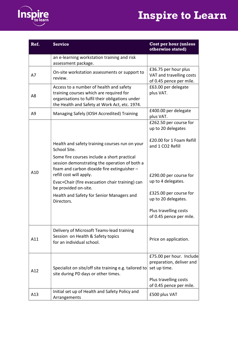



| Ref.           | <b>Service</b>                                                                                                                                                                         | <b>Cost per hour (unless</b><br>otherwise stated)                           |
|----------------|----------------------------------------------------------------------------------------------------------------------------------------------------------------------------------------|-----------------------------------------------------------------------------|
|                | an e-learning workstation training and risk<br>assessment package.                                                                                                                     |                                                                             |
| A7             | On-site workstation assessments or support to<br>review.                                                                                                                               | £36.75 per hour plus<br>VAT and travelling costs<br>of 0.45 pence per mile. |
| A <sub>8</sub> | Access to a number of health and safety<br>training courses which are required for<br>organisations to fulfil their obligations under<br>the Health and Safety at Work Act, etc. 1974. | £63.00 per delegate<br>plus VAT.                                            |
| A <sub>9</sub> | Managing Safely (IOSH Accredited) Training                                                                                                                                             | £400.00 per delegate<br>plus VAT.                                           |
|                |                                                                                                                                                                                        | £262.50 per course for<br>up to 20 delegates                                |
|                | Health and safety training courses run on your<br>School Site.                                                                                                                         | £20.00 for 1 Foam Refill<br>and 1 CO2 Refill                                |
| A10            | Some fire courses include a short practical<br>session demonstrating the operation of both a<br>foam and carbon dioxide fire extinguisher -                                            |                                                                             |
|                | refill cost will apply.<br>Evac+Chair (fire evacuation chair training) can<br>be provided on-site.                                                                                     | £290.00 per course for<br>up to 4 delegates.                                |
|                | Health and Safety for Senior Managers and<br>Directors.                                                                                                                                | £325.00 per course for<br>up to 20 delegates.                               |
|                |                                                                                                                                                                                        | Plus travelling costs<br>of 0.45 pence per mile.                            |
| A11            | Delivery of Microsoft Teams-lead training<br>Session on Health & Safety topics<br>for an individual school.                                                                            | Price on application.                                                       |
| A12            | Specialist on site/off site training e.g. tailored to                                                                                                                                  | £75.00 per hour. Include<br>preparation, deliver and<br>set up time.        |
|                | site during PD days or other times.                                                                                                                                                    | Plus travelling costs<br>of 0.45 pence per mile.                            |
| A13            | Initial set up of Health and Safety Policy and<br>Arrangements                                                                                                                         | £500 plus VAT                                                               |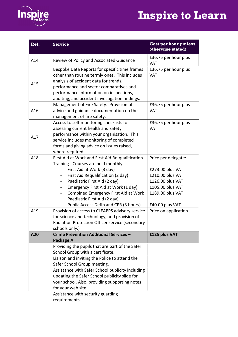

| Ref. | <b>Service</b>                                                                                                                                                                                                                                                                                                                                     | <b>Cost per hour (unless</b><br>otherwise stated)                                                                                          |
|------|----------------------------------------------------------------------------------------------------------------------------------------------------------------------------------------------------------------------------------------------------------------------------------------------------------------------------------------------------|--------------------------------------------------------------------------------------------------------------------------------------------|
| A14  | Review of Policy and Associated Guidance                                                                                                                                                                                                                                                                                                           | £36.75 per hour plus<br><b>VAT</b>                                                                                                         |
| A15  | Bespoke Data Reports for specific time frames<br>other than routine termly ones. This includes<br>analysis of accident data for trends,<br>performance and sector comparatives and<br>performance information on inspections,<br>auditing, and accident investigation findings.                                                                    | £36.75 per hour plus<br><b>VAT</b>                                                                                                         |
| A16  | Management of Fire Safety. Provision of<br>advice and guidance documentation on the<br>management of fire safety.                                                                                                                                                                                                                                  | £36.75 per hour plus<br><b>VAT</b>                                                                                                         |
| A17  | Access to self-monitoring checklists for<br>assessing current health and safety<br>performance within your organisation. This<br>service includes monitoring of completed<br>forms and giving advice on issues raised,<br>where required.                                                                                                          | £36.75 per hour plus<br><b>VAT</b>                                                                                                         |
| A18  | First Aid at Work and First Aid Re-qualification<br>Training - Courses are held monthly.<br>First Aid at Work (3 day)<br>First Aid Requalification (2 day)<br>Paediatric First Aid (2 day)<br>Emergency First Aid at Work (1 day)<br>Combined Emergency First Aid at Work<br>Paediatric First Aid (2 day)<br>Public Access Defib and CPR (3 hours) | Price per delegate:<br>£273.00 plus VAT<br>£210.00 plus VAT<br>£126.00 plus VAT<br>£105.00 plus VAT<br>£189.00 plus VAT<br>£40.00 plus VAT |
| A19  | Provision of access to CLEAPPS advisory service<br>for science and technology, and provision of<br>Radiation Protection Officer service (secondary<br>schools only.)                                                                                                                                                                               | Price on application                                                                                                                       |
| A20  | Crime Prevention Additional Services -<br>Package A                                                                                                                                                                                                                                                                                                | £125 plus VAT                                                                                                                              |
|      | Providing the pupils that are part of the Safer<br>School Group with a certificate.                                                                                                                                                                                                                                                                |                                                                                                                                            |
|      | Liaison and inviting the Police to attend the<br>Safer School Group meeting.                                                                                                                                                                                                                                                                       |                                                                                                                                            |
|      | Assistance with Safer School publicity including<br>updating the Safer School publicity slide for<br>your school. Also, providing supporting notes<br>for your web site.                                                                                                                                                                           |                                                                                                                                            |
|      | Assistance with security guarding<br>requirements.                                                                                                                                                                                                                                                                                                 |                                                                                                                                            |